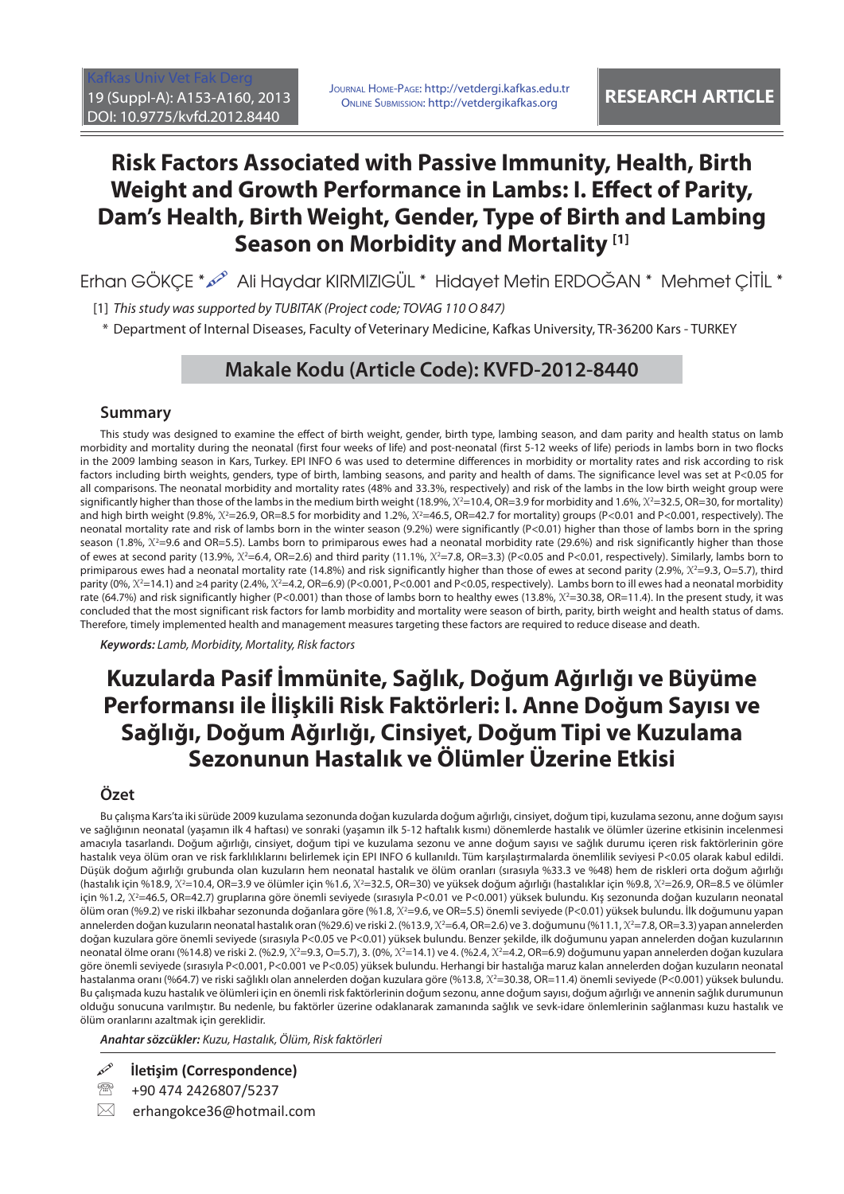[Kafkas Univ Vet Fak Derg](http://vetdergi.kafkas.edu.tr/) 19 (Suppl-A): A153-A160, 2013 DOI: 10.9775/kvfd.2012.8440

JOURNAL HOME-PAGE: http://vetdergi.kafkas.edu.tr URNAL HOME-PAGE: http://vetdergi.kafkas.edu.tr<br>ONLINE SUBMISSION: http://vetdergikafkas.org **RESEARCH ARTICLE** 

# **Risk Factors Associated with Passive Immunity, Health, Birth Weight and Growth Performance in Lambs: I. Effect of Parity, Dam's Health, Birth Weight, Gender, Type of Birth and Lambing Season on Morbidity and Mortality [1]**

Erhan GÖKÇE \* Ali Haydar KIRMIZIGÜL \* Hidayet Metin ERDOĞAN \* Mehmet ÇİTİL \*

[1] This study was supported by TUBITAK (Project code; TOVAG 110 O 847)

\* Department of Internal Diseases, Faculty of Veterinary Medicine, Kafkas University, TR-36200 Kars - TURKEY

# **Makale Kodu (Article Code): KVFD-2012-8440**

### **Summary**

This study was designed to examine the effect of birth weight, gender, birth type, lambing season, and dam parity and health status on lamb morbidity and mortality during the neonatal (first four weeks of life) and post-neonatal (first 5-12 weeks of life) periods in lambs born in two flocks in the 2009 lambing season in Kars, Turkey. EPI INFO 6 was used to determine differences in morbidity or mortality rates and risk according to risk factors including birth weights, genders, type of birth, lambing seasons, and parity and health of dams. The significance level was set at P<0.05 for all comparisons. The neonatal morbidity and mortality rates (48% and 33.3%, respectively) and risk of the lambs in the low birth weight group were significantly higher than those of the lambs in the medium birth weight (18.9%,  $X^2=10.4$ , OR=3.9 for morbidity and 1.6%,  $X^2=32.5$ , OR=30, for mortality) and high birth weight (9.8%, *X*<sup>2</sup> =26.9, OR=8.5 for morbidity and 1.2%, *X*<sup>2</sup> =46.5, OR=42.7 for mortality) groups (P<0.01 and P<0.001, respectively). The neonatal mortality rate and risk of lambs born in the winter season (9.2%) were significantly (P<0.01) higher than those of lambs born in the spring season (1.8%, X<sup>2</sup>=9.6 and OR=5.5). Lambs born to primiparous ewes had a neonatal morbidity rate (29.6%) and risk significantly higher than those of ewes at second parity (13.9%,  $X^2$ =6.4, OR=2.6) and third parity (11.1%,  $X^2$ =7.8, OR=3.3) (P<0.05 and P<0.01, respectively). Similarly, lambs born to primiparous ewes had a neonatal mortality rate (14.8%) and risk significantly higher than those of ewes at second parity (2.9%,  $X^2=9.3$ , O=5.7), third parity (0%, X<sup>2</sup>=14.1) and ≥4 parity (2.4%, X<sup>2</sup>=4.2, OR=6.9) (P<0.001, P<0.001 and P<0.05, respectively). Lambs born to ill ewes had a neonatal morbidity rate (64.7%) and risk significantly higher (P<0.001) than those of lambs born to healthy ewes (13.8%,  $X^2$ =30.38, OR=11.4). In the present study, it was concluded that the most significant risk factors for lamb morbidity and mortality were season of birth, parity, birth weight and health status of dams. Therefore, timely implemented health and management measures targeting these factors are required to reduce disease and death.

*Keywords:* Lamb, Morbidity, Mortality, Risk factors

# **Kuzularda Pasif İmmünite, Sağlık, Doğum Ağırlığı ve Büyüme Performansı ile İlişkili Risk Faktörleri: I. Anne Doğum Sayısı ve Sağlığı, Doğum Ağırlığı, Cinsiyet, Doğum Tipi ve Kuzulama Sezonunun Hastalık ve Ölümler Üzerine Etkisi**

## **Özet**

Bu çalışma Kars'ta iki sürüde 2009 kuzulama sezonunda doğan kuzularda doğum ağırlığı, cinsiyet, doğum tipi, kuzulama sezonu, anne doğum sayısı ve sağlığının neonatal (yaşamın ilk 4 haftası) ve sonraki (yaşamın ilk 5-12 haftalık kısmı) dönemlerde hastalık ve ölümler üzerine etkisinin incelenmesi amacıyla tasarlandı. Doğum ağırlığı, cinsiyet, doğum tipi ve kuzulama sezonu ve anne doğum sayısı ve sağlık durumu içeren risk faktörlerinin göre hastalık veya ölüm oran ve risk farklılıklarını belirlemek için EPI INFO 6 kullanıldı. Tüm karşılaştırmalarda önemlilik seviyesi P<0.05 olarak kabul edildi. Düşük doğum ağırlığı grubunda olan kuzuların hem neonatal hastalık ve ölüm oranları (sırasıyla %33.3 ve %48) hem de riskleri orta doğum ağırlığı (hastalık için %18.9, X<sup>2</sup>=10.4, OR=3.9 ve ölümler için %1.6, X<sup>2</sup>=32.5, OR=30) ve yüksek doğum ağırlığı (hastalıklar için %9.8, X<sup>2</sup>=26.9, OR=8.5 ve ölümler için %1.2, *X*<sup>2</sup> =46.5, OR=42.7) gruplarına göre önemli seviyede (sırasıyla P<0.01 ve P<0.001) yüksek bulundu. Kış sezonunda doğan kuzuların neonatal ölüm oran (%9.2) ve riski ilkbahar sezonunda doğanlara göre (%1.8, X<sup>2</sup>=9.6, ve OR=5.5) önemli seviyede (P<0.01) yüksek bulundu. İlk doğumunu yapan annelerden doğan kuzuların neonatal hastalık oran (%29.6) ve riski 2. (%13.9, X²=6.4, OR=2.6) ve 3. doğumunu (%11.1, X²=7.8, OR=3.3) yapan annelerden doğan kuzulara göre önemli seviyede (sırasıyla P<0.05 ve P<0.01) yüksek bulundu. Benzer şekilde, ilk doğumunu yapan annelerden doğan kuzularının neonatal ölme oranı (%14.8) ve riski 2. (%2.9, *X*<sup>2</sup> =9.3, O=5.7), 3. (0%, *X*<sup>2</sup> =14.1) ve 4. (%2.4, *X*<sup>2</sup> =4.2, OR=6.9) doğumunu yapan annelerden doğan kuzulara göre önemli seviyede (sırasıyla P<0.001, P<0.001 ve P<0.05) yüksek bulundu. Herhangi bir hastalığa maruz kalan annelerden doğan kuzuların neonatal hastalanma oranı (%64.7) ve riski sağlıklı olan annelerden doğan kuzulara göre (%13.8, *X*<sup>2</sup> =30.38, OR=11.4) önemli seviyede (P<0.001) yüksek bulundu. Bu çalışmada kuzu hastalık ve ölümleri için en önemli risk faktörlerinin doğum sezonu, anne doğum sayısı, doğum ağırlığı ve annenin sağlık durumunun olduğu sonucuna varılmıştır. Bu nedenle, bu faktörler üzerine odaklanarak zamanında sağlık ve sevk-idare önlemlerinin sağlanması kuzu hastalık ve ölüm oranlarını azaltmak için gereklidir.

*Anahtar sözcükler:* Kuzu, Hastalık, Ölüm, Risk faktörleri

**İletişim (Correspondence)**

<sup>3</sup> +90 474 2426807/5237

 $\boxtimes$  erhangokce36@hotmail.com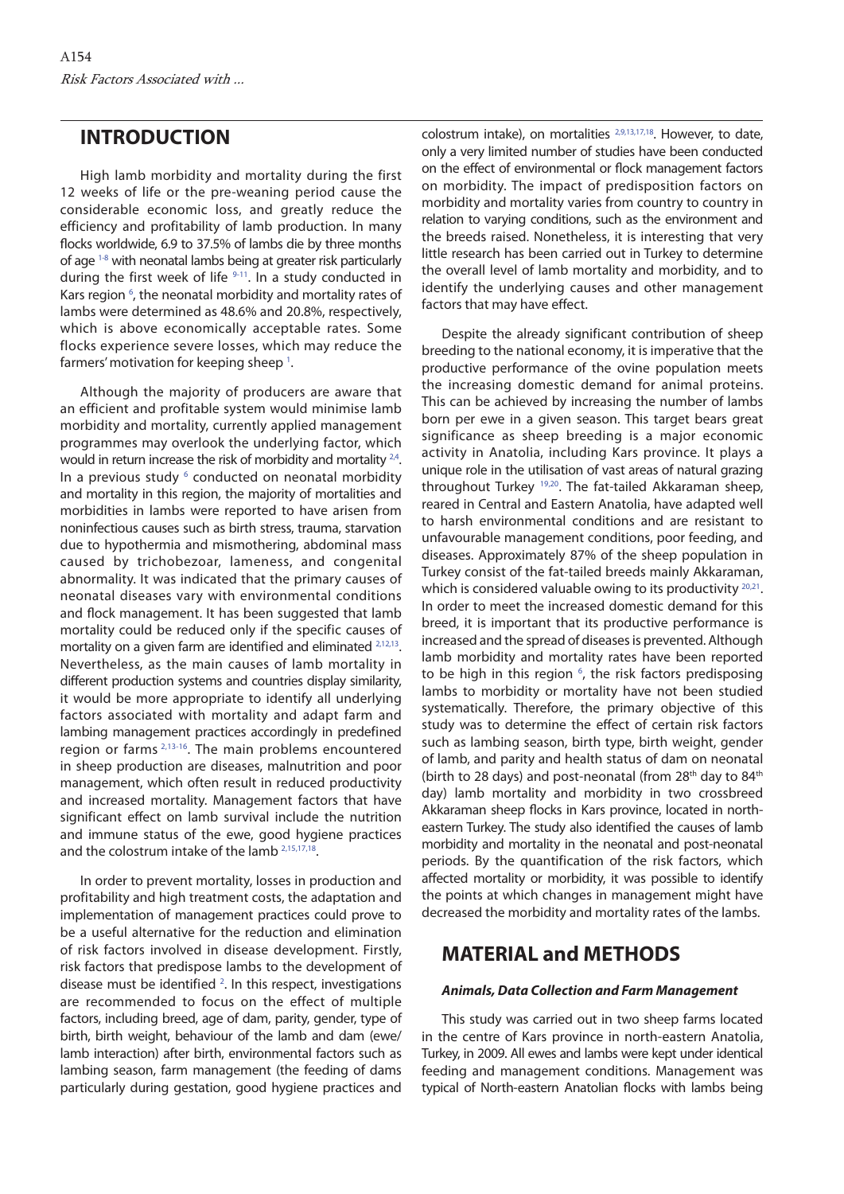# **INTRODUCTION**

High lamb morbidity and mortality during the first 12 weeks of life or the pre-weaning period cause the considerable economic loss, and greatly reduce the efficiency and profitability of lamb production. In many flocks worldwide, 6.9 to 37.5% of lambs die by three months of age [1-8](#page-7-0) with neonatal lambs being at greater risk particularly during the first week of life  $9-11$ . In a study conducted in Kars region<sup>6</sup>, the neonatal morbidity and mortality rates of lambs were determined as 48.6% and 20.8%, respectively, which is above economically acceptable rates. Some flocks experience severe losses, which may reduce the farmers' motivation for keeping sheep  $\frac{1}{1}$ .

Although the majority of producers are aware that an efficient and profitable system would minimise lamb morbidity and mortality, currently applied management programmes may overlook the underlying factor, which would in return increase the risk of morbidity and mortality <sup>2,4</sup>. In a previous study <sup>6</sup> conducted on neonatal morbidity and mortality in this region, the majority of mortalities and morbidities in lambs were reported to have arisen from noninfectious causes such as birth stress, trauma, starvation due to hypothermia and mismothering, abdominal mass caused by trichobezoar, lameness, and congenital abnormality. It was indicated that the primary causes of neonatal diseases vary with environmental conditions and flock management. It has been suggested that lamb mortality could be reduced only if the specific causes of mortality on a given farm are identified and eliminated <sup>2,12,13</sup>. Nevertheless, as the main causes of lamb mortality in different production systems and countries display similarity, it would be more appropriate to identify all underlying factors associated with mortality and adapt farm and lambing management practices accordingly in predefined region or farms [2,13-16.](#page-7-0) The main problems encountered in sheep production are diseases, malnutrition and poor management, which often result in reduced productivity and increased mortality. Management factors that have significant effect on lamb survival include the nutrition and immune status of the ewe, good hygiene practices and the colostrum intake of the lamb [2,15,17,18.](#page-7-0)

In order to prevent mortality, losses in production and profitability and high treatment costs, the adaptation and implementation of management practices could prove to be a useful alternative for the reduction and elimination of risk factors involved in disease development. Firstly, risk factors that predispose lambs to the development of disease must be identified <sup>[2](#page-7-0)</sup>. In this respect, investigations are recommended to focus on the effect of multiple factors, including breed, age of dam, parity, gender, type of birth, birth weight, behaviour of the lamb and dam (ewe/ lamb interaction) after birth, environmental factors such as lambing season, farm management (the feeding of dams particularly during gestation, good hygiene practices and

colostrum intake), on mortalities [2,9,13,17,18](#page-7-0). However, to date, only a very limited number of studies have been conducted on the effect of environmental or flock management factors on morbidity. The impact of predisposition factors on morbidity and mortality varies from country to country in relation to varying conditions, such as the environment and the breeds raised. Nonetheless, it is interesting that very little research has been carried out in Turkey to determine the overall level of lamb mortality and morbidity, and to identify the underlying causes and other management factors that may have effect.

Despite the already significant contribution of sheep breeding to the national economy, it is imperative that the productive performance of the ovine population meets the increasing domestic demand for animal proteins. This can be achieved by increasing the number of lambs born per ewe in a given season. This target bears great significance as sheep breeding is a major economic activity in Anatolia, including Kars province. It plays a unique role in the utilisation of vast areas of natural grazing throughout Turkey [19,20.](#page-7-0) The fat-tailed Akkaraman sheep, reared in Central and Eastern Anatolia, have adapted well to harsh environmental conditions and are resistant to unfavourable management conditions, poor feeding, and diseases. Approximately 87% of the sheep population in Turkey consist of the fat-tailed breeds mainly Akkaraman, which is considered valuable owing to its productivity  $20,21$ . In order to meet the increased domestic demand for this breed, it is important that its productive performance is increased and the spread of diseases is prevented. Although lamb morbidity and mortality rates have been reported to be high in this region  $6$ , the risk factors predisposing lambs to morbidity or mortality have not been studied systematically. Therefore, the primary objective of this study was to determine the effect of certain risk factors such as lambing season, birth type, birth weight, gender of lamb, and parity and health status of dam on neonatal (birth to 28 days) and post-neonatal (from 28<sup>th</sup> day to 84<sup>th</sup> day) lamb mortality and morbidity in two crossbreed Akkaraman sheep flocks in Kars province, located in northeastern Turkey. The study also identified the causes of lamb morbidity and mortality in the neonatal and post-neonatal periods. By the quantification of the risk factors, which affected mortality or morbidity, it was possible to identify the points at which changes in management might have decreased the morbidity and mortality rates of the lambs.

# **MATERIAL and METHODS**

## *Animals, Data Collection and Farm Management*

This study was carried out in two sheep farms located in the centre of Kars province in north-eastern Anatolia, Turkey, in 2009. All ewes and lambs were kept under identical feeding and management conditions. Management was typical of North-eastern Anatolian flocks with lambs being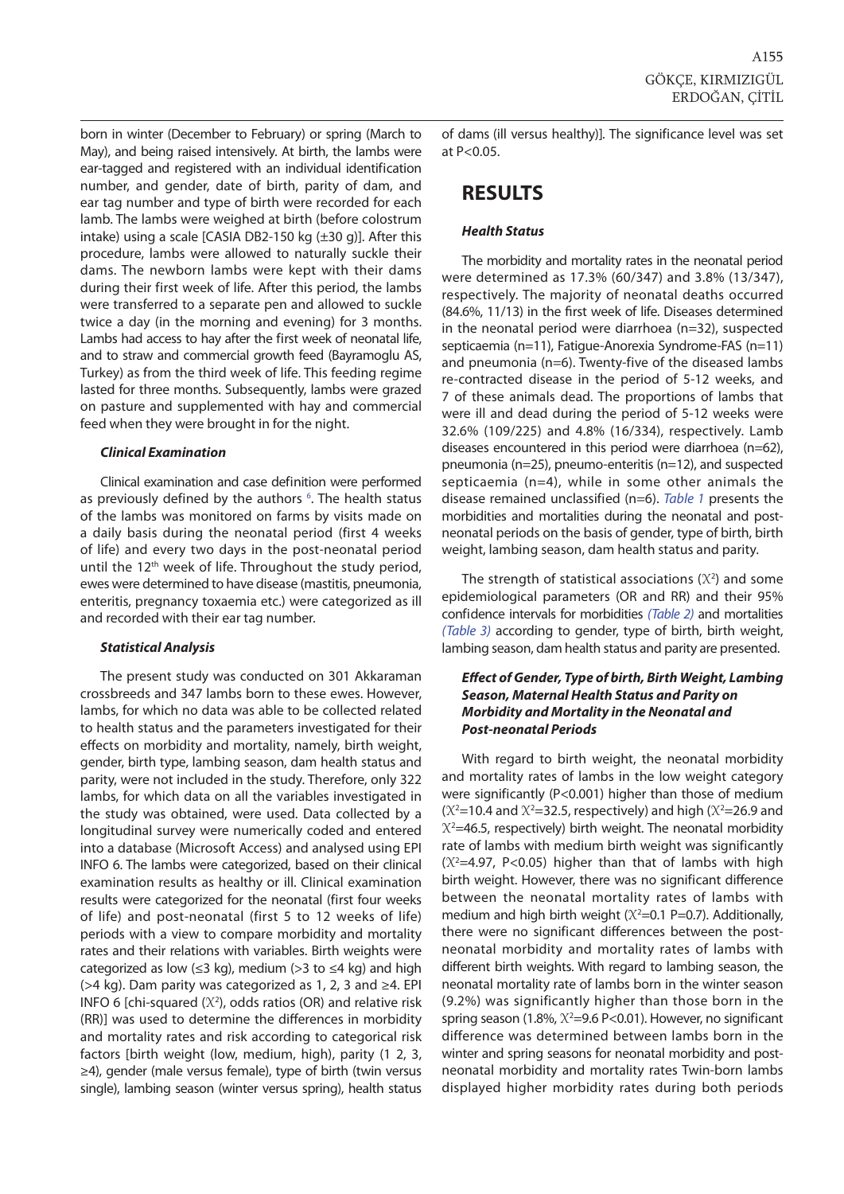born in winter (December to February) or spring (March to May), and being raised intensively. At birth, the lambs were ear-tagged and registered with an individual identification number, and gender, date of birth, parity of dam, and ear tag number and type of birth were recorded for each lamb. The lambs were weighed at birth (before colostrum intake) using a scale [CASIA DB2-150 kg (±30 g)]. After this procedure, lambs were allowed to naturally suckle their dams. The newborn lambs were kept with their dams during their first week of life. After this period, the lambs were transferred to a separate pen and allowed to suckle twice a day (in the morning and evening) for 3 months. Lambs had access to hay after the first week of neonatal life, and to straw and commercial growth feed (Bayramoglu AS, Turkey) as from the third week of life. This feeding regime lasted for three months. Subsequently, lambs were grazed on pasture and supplemented with hay and commercial feed when they were brought in for the night.

#### *Clinical Examination*

Clinical examination and case definition were performed as previously defined by the authors <sup>6</sup>. The health status of the lambs was monitored on farms by visits made on a daily basis during the neonatal period (first 4 weeks of life) and every two days in the post-neonatal period until the 12<sup>th</sup> week of life. Throughout the study period, ewes were determined to have disease (mastitis, pneumonia, enteritis, pregnancy toxaemia etc.) were categorized as ill and recorded with their ear tag number.

### *Statistical Analysis*

The present study was conducted on 301 Akkaraman crossbreeds and 347 lambs born to these ewes. However, lambs, for which no data was able to be collected related to health status and the parameters investigated for their effects on morbidity and mortality, namely, birth weight, gender, birth type, lambing season, dam health status and parity, were not included in the study. Therefore, only 322 lambs, for which data on all the variables investigated in the study was obtained, were used. Data collected by a longitudinal survey were numerically coded and entered into a database (Microsoft Access) and analysed using EPI INFO 6. The lambs were categorized, based on their clinical examination results as healthy or ill. Clinical examination results were categorized for the neonatal (first four weeks of life) and post-neonatal (first 5 to 12 weeks of life) periods with a view to compare morbidity and mortality rates and their relations with variables. Birth weights were categorized as low (≤3 kg), medium (>3 to ≤4 kg) and high (>4 kg). Dam parity was categorized as 1, 2, 3 and ≥4. EPI INFO 6 [chi-squared  $(X^2)$ , odds ratios (OR) and relative risk (RR)] was used to determine the differences in morbidity and mortality rates and risk according to categorical risk factors [birth weight (low, medium, high), parity (1 2, 3, ≥4), gender (male versus female), type of birth (twin versus single), lambing season (winter versus spring), health status

of dams (ill versus healthy)]. The significance level was set at P<0.05.

# **RESULTS**

### *Health Status*

The morbidity and mortality rates in the neonatal period were determined as 17.3% (60/347) and 3.8% (13/347), respectively. The majority of neonatal deaths occurred (84.6%, 11/13) in the first week of life. Diseases determined in the neonatal period were diarrhoea (n=32), suspected septicaemia (n=11), Fatigue-Anorexia Syndrome-FAS (n=11) and pneumonia (n=6). Twenty-five of the diseased lambs re-contracted disease in the period of 5-12 weeks, and 7 of these animals dead. The proportions of lambs that were ill and dead during the period of 5-12 weeks were 32.6% (109/225) and 4.8% (16/334), respectively. Lamb diseases encountered in this period were diarrhoea (n=62), pneumonia (n=25), pneumo-enteritis (n=12), and suspected septicaemia (n=4), while in some other animals the disease remained unclassified (n=6). [Table 1](#page-3-0) presents the morbidities and mortalities during the neonatal and postneonatal periods on the basis of gender, type of birth, birth weight, lambing season, dam health status and parity.

The strength of statistical associations (*X*<sup>2</sup> ) and some epidemiological parameters (OR and RR) and their 95% confidence intervals for morbidities [\(Table 2\)](#page-4-0) and mortalities [\(Table 3\)](#page-5-0) according to gender, type of birth, birth weight, lambing season, dam health status and parity are presented.

### *Eff ect of Gender, Type of birth, Birth Weight, Lambing Season, Maternal Health Status and Parity on Morbidity and Mortality in the Neonatal and Post-neonatal Periods*

With regard to birth weight, the neonatal morbidity and mortality rates of lambs in the low weight category were significantly (P<0.001) higher than those of medium  $(X^2=10.4$  and  $X^2=32.5$ , respectively) and high  $(X^2=26.9$  and *X*2 =46.5, respectively) birth weight. The neonatal morbidity rate of lambs with medium birth weight was significantly  $(X^2=4.97, P<0.05)$  higher than that of lambs with high birth weight. However, there was no significant difference between the neonatal mortality rates of lambs with medium and high birth weight  $(X^2=0.1 P=0.7)$ . Additionally, there were no significant differences between the postneonatal morbidity and mortality rates of lambs with different birth weights. With regard to lambing season, the neonatal mortality rate of lambs born in the winter season (9.2%) was significantly higher than those born in the spring season (1.8%,  $X^2$ =9.6 P<0.01). However, no significant difference was determined between lambs born in the winter and spring seasons for neonatal morbidity and postneonatal morbidity and mortality rates Twin-born lambs displayed higher morbidity rates during both periods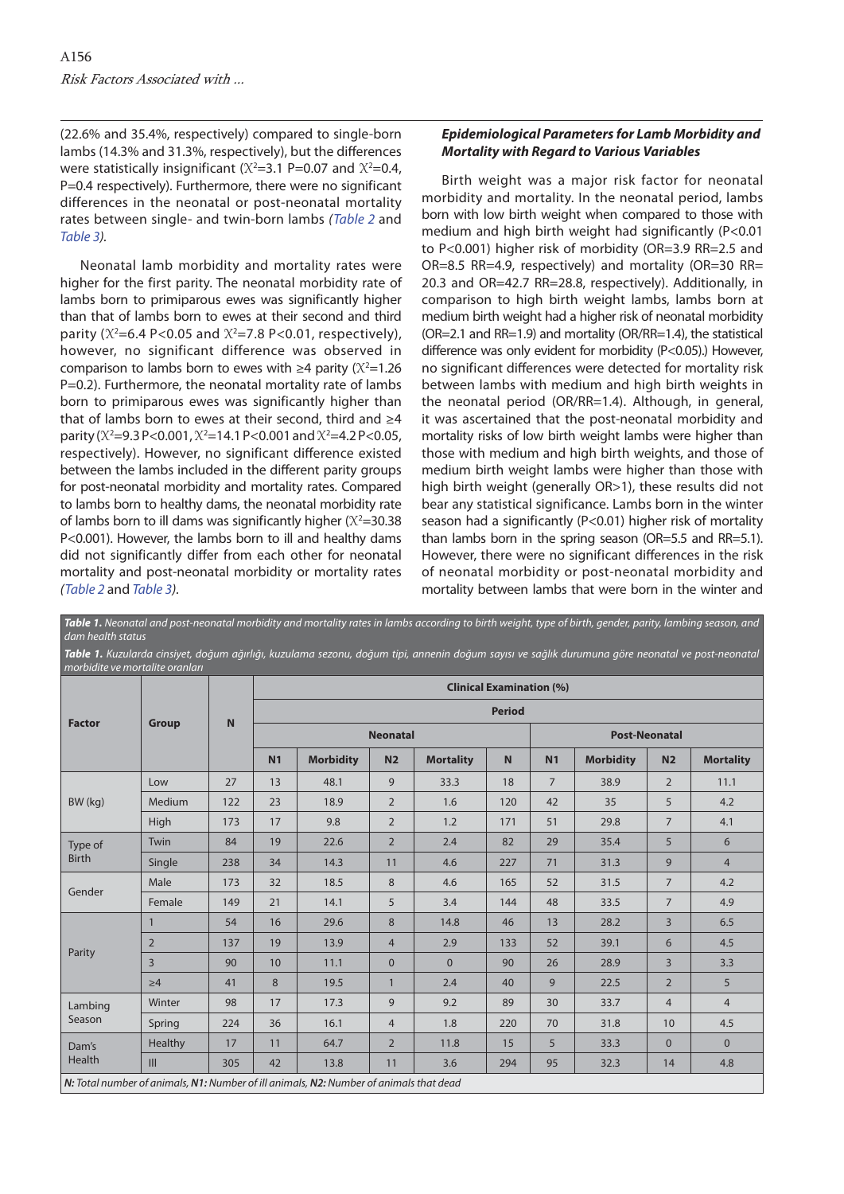<span id="page-3-0"></span>(22.6% and 35.4%, respectively) compared to single-born lambs (14.3% and 31.3%, respectively), but the differences were statistically insignificant ( $X^2$ =3.1 P=0.07 and  $X^2$ =0.4, P=0.4 respectively). Furthermore, there were no significant differences in the neonatal or post-neonatal mortality rates between single- and twin-born lambs [\(Table 2](#page-4-0) and [Table 3\).](#page-5-0)

Neonatal lamb morbidity and mortality rates were higher for the first parity. The neonatal morbidity rate of lambs born to primiparous ewes was significantly higher than that of lambs born to ewes at their second and third parity ( $X^2 = 6.4$  P<0.05 and  $X^2 = 7.8$  P<0.01, respectively), however, no significant difference was observed in comparison to lambs born to ewes with  $\geq 4$  parity ( $X^2 = 1.26$ ) P=0.2). Furthermore, the neonatal mortality rate of lambs born to primiparous ewes was significantly higher than that of lambs born to ewes at their second, third and ≥4 parity (*X*<sup>2</sup> =9.3 P<0.001, *X*<sup>2</sup> =14.1 P<0.001 and *X*<sup>2</sup> =4.2 P<0.05, respectively). However, no significant difference existed between the lambs included in the different parity groups for post-neonatal morbidity and mortality rates. Compared to lambs born to healthy dams, the neonatal morbidity rate of lambs born to ill dams was significantly higher  $(X^2=30.38)$ P<0.001). However, the lambs born to ill and healthy dams did not significantly differ from each other for neonatal mortality and post-neonatal morbidity or mortality rates ([Table 2](#page-4-0) and [Table 3\).](#page-5-0)

## *Epidemiological Parameters for Lamb Morbidity and Mortality with Regard to Various Variables*

Birth weight was a major risk factor for neonatal morbidity and mortality. In the neonatal period, lambs born with low birth weight when compared to those with medium and high birth weight had significantly (P<0.01 to P<0.001) higher risk of morbidity (OR=3.9 RR=2.5 and OR=8.5 RR=4.9, respectively) and mortality (OR=30 RR= 20.3 and OR=42.7 RR=28.8, respectively). Additionally, in comparison to high birth weight lambs, lambs born at medium birth weight had a higher risk of neonatal morbidity (OR=2.1 and RR=1.9) and mortality (OR/RR=1.4), the statistical difference was only evident for morbidity (P<0.05).) However, no significant differences were detected for mortality risk between lambs with medium and high birth weights in the neonatal period (OR/RR=1.4). Although, in general, it was ascertained that the post-neonatal morbidity and mortality risks of low birth weight lambs were higher than those with medium and high birth weights, and those of medium birth weight lambs were higher than those with high birth weight (generally OR>1), these results did not bear any statistical significance. Lambs born in the winter season had a significantly (P<0.01) higher risk of mortality than lambs born in the spring season (OR=5.5 and RR=5.1). However, there were no significant differences in the risk of neonatal morbidity or post-neonatal morbidity and mortality between lambs that were born in the winter and

| Table 1. Kuzularda cinsiyet, doğum ağırlığı, kuzulama sezonu, doğum tipi, annenin doğum sayısı ve sağlık durumuna göre neonatal ve post-neonatal<br>morbidite ve mortalite oranları |                |             |                                                  |                                                                                        |                |                  |              |                |                  |                 |                  |      |
|-------------------------------------------------------------------------------------------------------------------------------------------------------------------------------------|----------------|-------------|--------------------------------------------------|----------------------------------------------------------------------------------------|----------------|------------------|--------------|----------------|------------------|-----------------|------------------|------|
| <b>Factor</b>                                                                                                                                                                       | Group          | $\mathbf N$ | <b>Clinical Examination (%)</b><br><b>Period</b> |                                                                                        |                |                  |              |                |                  |                 |                  |      |
|                                                                                                                                                                                     |                |             |                                                  |                                                                                        |                |                  |              |                |                  |                 |                  |      |
|                                                                                                                                                                                     |                |             | N <sub>1</sub>                                   | <b>Morbidity</b>                                                                       | N <sub>2</sub> | <b>Mortality</b> | $\mathsf{N}$ | N <sub>1</sub> | <b>Morbidity</b> | N <sub>2</sub>  | <b>Mortality</b> |      |
|                                                                                                                                                                                     |                |             | BW (kg)                                          | Low                                                                                    | 27             | 13               | 48.1         | 9              | 33.3             | 18              | $\overline{7}$   | 38.9 |
| Medium                                                                                                                                                                              | 122            | 23          |                                                  | 18.9                                                                                   | $\overline{2}$ | 1.6              | 120          | 42             | 35               | 5               | 4.2              |      |
| High                                                                                                                                                                                | 173            | 17          |                                                  | 9.8                                                                                    | $\overline{2}$ | 1.2              | 171          | 51             | 29.8             | $7\overline{ }$ | 4.1              |      |
| Type of<br><b>Birth</b>                                                                                                                                                             | Twin           | 84          | 19                                               | 22.6                                                                                   | $\overline{2}$ | 2.4              | 82           | 29             | 35.4             | 5               | 6                |      |
|                                                                                                                                                                                     | Single         | 238         | 34                                               | 14.3                                                                                   | 11             | 4.6              | 227          | 71             | 31.3             | 9               | $\overline{4}$   |      |
| Gender                                                                                                                                                                              | Male           | 173         | 32                                               | 18.5                                                                                   | 8              | 4.6              | 165          | 52             | 31.5             | $7\overline{ }$ | 4.2              |      |
|                                                                                                                                                                                     | Female         | 149         | 21                                               | 14.1                                                                                   | 5              | 3.4              | 144          | 48             | 33.5             | $7\overline{ }$ | 4.9              |      |
| Parity                                                                                                                                                                              | $\mathbf{1}$   | 54          | 16                                               | 29.6                                                                                   | 8              | 14.8             | 46           | 13             | 28.2             | $\overline{3}$  | 6.5              |      |
|                                                                                                                                                                                     | $\overline{2}$ | 137         | 19                                               | 13.9                                                                                   | $\overline{4}$ | 2.9              | 133          | 52             | 39.1             | 6               | 4.5              |      |
|                                                                                                                                                                                     | $\overline{3}$ | 90          | 10                                               | 11.1                                                                                   | $\mathbf{0}$   | $\mathbf{0}$     | 90           | 26             | 28.9             | $\overline{3}$  | 3.3              |      |
|                                                                                                                                                                                     | $\geq 4$       | 41          | 8                                                | 19.5                                                                                   | $\mathbf{1}$   | 2.4              | 40           | 9              | 22.5             | $\overline{2}$  | 5                |      |
| Lambing<br>Season                                                                                                                                                                   | Winter         | 98          | 17                                               | 17.3                                                                                   | 9              | 9.2              | 89           | 30             | 33.7             | $\overline{4}$  | $\overline{4}$   |      |
|                                                                                                                                                                                     | Spring         | 224         | 36                                               | 16.1                                                                                   | $\overline{4}$ | 1.8              | 220          | 70             | 31.8             | 10              | 4.5              |      |
| Dam's<br>Health                                                                                                                                                                     | Healthy        | 17          | 11                                               | 64.7                                                                                   | $\overline{2}$ | 11.8             | 15           | 5              | 33.3             | $\mathbf{0}$    | $\Omega$         |      |
|                                                                                                                                                                                     | III            | 305         | 42                                               | 13.8                                                                                   | 11             | 3.6              | 294          | 95             | 32.3             | 14              | 4.8              |      |
|                                                                                                                                                                                     |                |             |                                                  | N: Total number of animals, N1: Number of ill animals, N2: Number of animals that dead |                |                  |              |                |                  |                 |                  |      |

*Table 1.* Neonatal and post-neonatal morbidity and mortality rates in lambs according to birth weight, type of birth, gender, parity, lambing season, and dam health status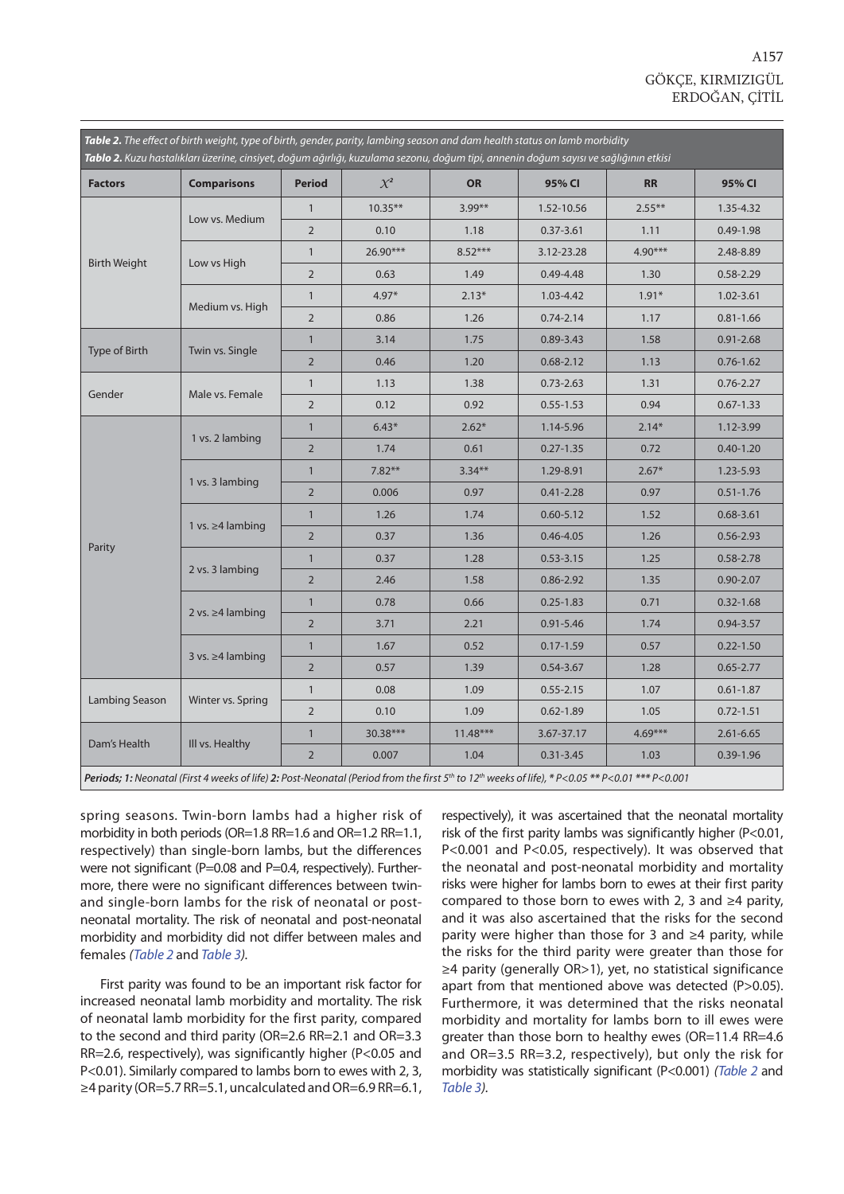<span id="page-4-0"></span>

|                     | Table 2. The effect of birth weight, type of birth, gender, parity, lambing season and dam health status on lamb morbidity<br>Tablo 2. Kuzu hastalıkları üzerine, cinsiyet, doğum ağırlığı, kuzulama sezonu, doğum tipi, annenin doğum sayısı ve sağlığının etkisi |                |            |            |               |           |               |
|---------------------|--------------------------------------------------------------------------------------------------------------------------------------------------------------------------------------------------------------------------------------------------------------------|----------------|------------|------------|---------------|-----------|---------------|
| <b>Factors</b>      | <b>Comparisons</b>                                                                                                                                                                                                                                                 | <b>Period</b>  | $\chi^2$   | <b>OR</b>  | 95% CI        | <b>RR</b> | 95% CI        |
|                     |                                                                                                                                                                                                                                                                    | $\mathbf{1}$   | $10.35***$ | $3.99***$  | 1.52-10.56    | $2.55***$ | 1.35-4.32     |
| <b>Birth Weight</b> | Low vs. Medium                                                                                                                                                                                                                                                     | $\overline{2}$ | 0.10       | 1.18       | $0.37 - 3.61$ | 1.11      | $0.49 - 1.98$ |
|                     |                                                                                                                                                                                                                                                                    | $\mathbf{1}$   | 26.90***   | $8.52***$  | 3.12-23.28    | $4.90***$ | 2.48-8.89     |
|                     | Low vs High                                                                                                                                                                                                                                                        | $\overline{2}$ | 0.63       | 1.49       | $0.49 - 4.48$ | 1.30      | $0.58 - 2.29$ |
|                     |                                                                                                                                                                                                                                                                    | $\mathbf{1}$   | $4.97*$    | $2.13*$    | 1.03-4.42     | $1.91*$   | 1.02-3.61     |
|                     | Medium vs. High                                                                                                                                                                                                                                                    | $\overline{2}$ | 0.86       | 1.26       | $0.74 - 2.14$ | 1.17      | $0.81 - 1.66$ |
|                     |                                                                                                                                                                                                                                                                    | $\mathbf{1}$   | 3.14       | 1.75       | $0.89 - 3.43$ | 1.58      | $0.91 - 2.68$ |
| Type of Birth       | Twin vs. Single                                                                                                                                                                                                                                                    | $\overline{2}$ | 0.46       | 1.20       | $0.68 - 2.12$ | 1.13      | $0.76 - 1.62$ |
| Gender              |                                                                                                                                                                                                                                                                    | $\mathbf{1}$   | 1.13       | 1.38       | $0.73 - 2.63$ | 1.31      | $0.76 - 2.27$ |
|                     | Male vs. Female                                                                                                                                                                                                                                                    | $\overline{2}$ | 0.12       | 0.92       | $0.55 - 1.53$ | 0.94      | $0.67 - 1.33$ |
|                     | 1 vs. 2 lambing                                                                                                                                                                                                                                                    | $\mathbf{1}$   | $6.43*$    | $2.62*$    | 1.14-5.96     | $2.14*$   | 1.12-3.99     |
|                     |                                                                                                                                                                                                                                                                    | $\overline{2}$ | 1.74       | 0.61       | $0.27 - 1.35$ | 0.72      | $0.40 - 1.20$ |
|                     |                                                                                                                                                                                                                                                                    | $\mathbf{1}$   | $7.82**$   | $3.34***$  | 1.29-8.91     | $2.67*$   | 1.23-5.93     |
| Parity              | 1 vs. 3 lambing                                                                                                                                                                                                                                                    | $\overline{2}$ | 0.006      | 0.97       | $0.41 - 2.28$ | 0.97      | $0.51 - 1.76$ |
|                     |                                                                                                                                                                                                                                                                    | $\mathbf{1}$   | 1.26       | 1.74       | $0.60 - 5.12$ | 1.52      | $0.68 - 3.61$ |
|                     | 1 vs. ≥4 lambing                                                                                                                                                                                                                                                   | $\overline{2}$ | 0.37       | 1.36       | $0.46 - 4.05$ | 1.26      | $0.56 - 2.93$ |
|                     |                                                                                                                                                                                                                                                                    | $\mathbf{1}$   | 0.37       | 1.28       | $0.53 - 3.15$ | 1.25      | $0.58 - 2.78$ |
|                     | 2 vs. 3 lambing                                                                                                                                                                                                                                                    | $\overline{2}$ | 2.46       | 1.58       | 0.86-2.92     | 1.35      | $0.90 - 2.07$ |
|                     |                                                                                                                                                                                                                                                                    | $\mathbf{1}$   | 0.78       | 0.66       | $0.25 - 1.83$ | 0.71      | $0.32 - 1.68$ |
|                     | 2 vs. $\geq$ 4 lambing                                                                                                                                                                                                                                             | $\overline{2}$ | 3.71       | 2.21       | $0.91 - 5.46$ | 1.74      | $0.94 - 3.57$ |
|                     |                                                                                                                                                                                                                                                                    | $\mathbf{1}$   | 1.67       | 0.52       | $0.17 - 1.59$ | 0.57      | $0.22 - 1.50$ |
|                     | $3$ vs. $\geq 4$ lambing                                                                                                                                                                                                                                           | $\overline{2}$ | 0.57       | 1.39       | $0.54 - 3.67$ | 1.28      | $0.65 - 2.77$ |
|                     |                                                                                                                                                                                                                                                                    | $\mathbf{1}$   | 0.08       | 1.09       | $0.55 - 2.15$ | 1.07      | $0.61 - 1.87$ |
| Lambing Season      | Winter vs. Spring                                                                                                                                                                                                                                                  | $\overline{2}$ | 0.10       | 1.09       | $0.62 - 1.89$ | 1.05      | $0.72 - 1.51$ |
|                     |                                                                                                                                                                                                                                                                    | $\mathbf{1}$   | 30.38***   | $11.48***$ | 3.67-37.17    | $4.69***$ | $2.61 - 6.65$ |
| Dam's Health        | Ill vs. Healthy                                                                                                                                                                                                                                                    | $\overline{2}$ | 0.007      | 1.04       | $0.31 - 3.45$ | 1.03      | $0.39 - 1.96$ |
|                     | Periods; 1: Neonatal (First 4 weeks of life) 2: Post-Neonatal (Period from the first $5th$ to $12th$ weeks of life), * P<0.05 ** P<0.01 *** P<0.001                                                                                                                |                |            |            |               |           |               |

spring seasons. Twin-born lambs had a higher risk of morbidity in both periods (OR=1.8 RR=1.6 and OR=1.2 RR=1.1, respectively) than single-born lambs, but the differences were not significant (P=0.08 and P=0.4, respectively). Furthermore, there were no significant differences between twinand single-born lambs for the risk of neonatal or postneonatal mortality. The risk of neonatal and post-neonatal morbidity and morbidity did not differ between males and females (Table 2 and [Table 3\).](#page-5-0)

First parity was found to be an important risk factor for increased neonatal lamb morbidity and mortality. The risk of neonatal lamb morbidity for the first parity, compared to the second and third parity (OR=2.6 RR=2.1 and OR=3.3 RR=2.6, respectively), was significantly higher (P<0.05 and P<0.01). Similarly compared to lambs born to ewes with 2, 3, ≥4 parity (OR=5.7 RR=5.1, uncalculated and OR=6.9 RR=6.1, respectively), it was ascertained that the neonatal mortality risk of the first parity lambs was significantly higher (P<0.01, P<0.001 and P<0.05, respectively). It was observed that the neonatal and post-neonatal morbidity and mortality risks were higher for lambs born to ewes at their first parity compared to those born to ewes with 2, 3 and ≥4 parity, and it was also ascertained that the risks for the second parity were higher than those for 3 and ≥4 parity, while the risks for the third parity were greater than those for ≥4 parity (generally OR>1), yet, no statistical significance apart from that mentioned above was detected (P>0.05). Furthermore, it was determined that the risks neonatal morbidity and mortality for lambs born to ill ewes were greater than those born to healthy ewes (OR=11.4 RR=4.6 and OR=3.5 RR=3.2, respectively), but only the risk for morbidity was statistically significant (P<0.001) (Table 2 and [Table 3\).](#page-5-0)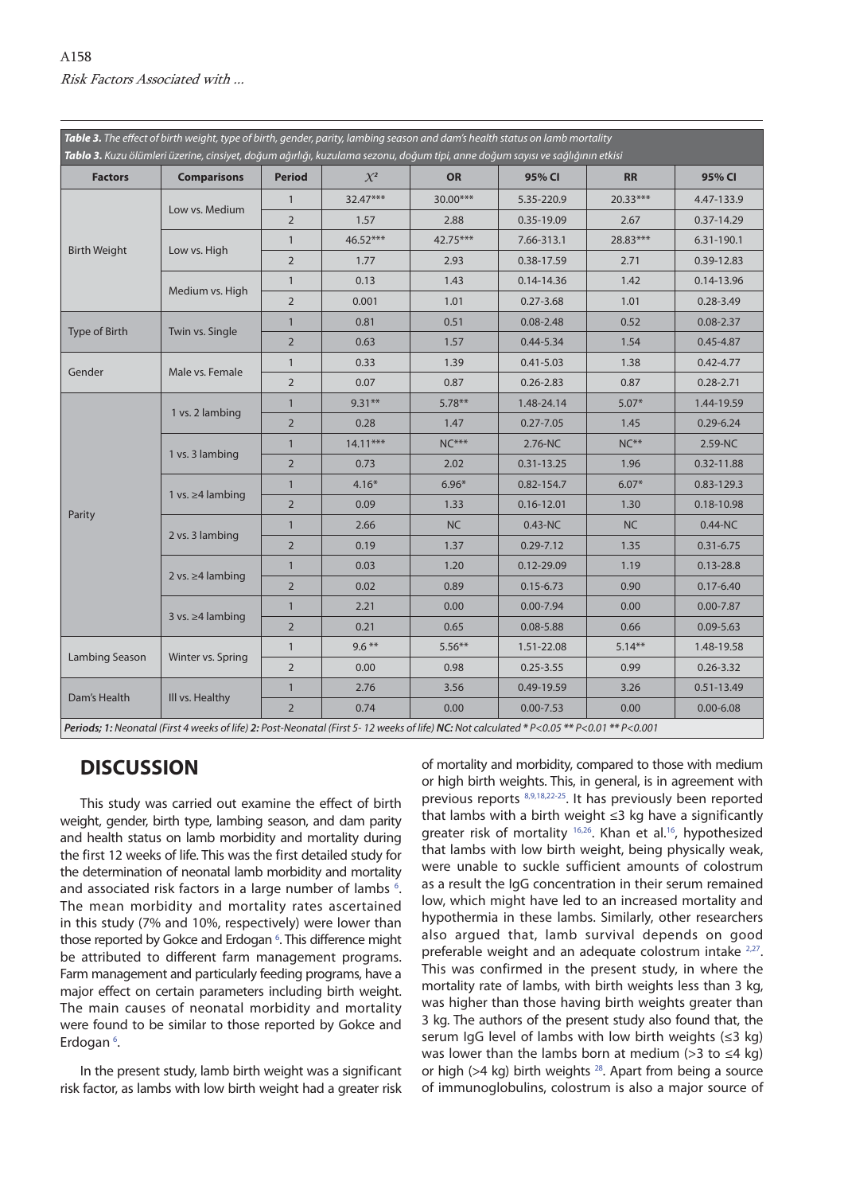<span id="page-5-0"></span>

| <b>Factors</b>      | <b>Comparisons</b>       | <b>Period</b>  | $\chi^2$   | <b>OR</b> | 95% CI         | <b>RR</b>                                                                                                                                                                                                                                                                                                                                                                                                                                       | 95% CI         |
|---------------------|--------------------------|----------------|------------|-----------|----------------|-------------------------------------------------------------------------------------------------------------------------------------------------------------------------------------------------------------------------------------------------------------------------------------------------------------------------------------------------------------------------------------------------------------------------------------------------|----------------|
| <b>Birth Weight</b> |                          | $\mathbf{1}$   | $32.47***$ | 30.00***  | 5.35-220.9     | 20.33***                                                                                                                                                                                                                                                                                                                                                                                                                                        | 4.47-133.9     |
|                     | Low vs. Medium           | $\overline{2}$ | 1.57       | 2.88      | 0.35-19.09     | 2.67                                                                                                                                                                                                                                                                                                                                                                                                                                            | 0.37-14.29     |
|                     |                          | $\mathbf{1}$   | $46.52***$ | 42.75***  | 7.66-313.1     | 28.83***                                                                                                                                                                                                                                                                                                                                                                                                                                        | 6.31-190.1     |
|                     | Low vs. High             | 2              | 1.77       | 2.93      | 0.38-17.59     | 2.71                                                                                                                                                                                                                                                                                                                                                                                                                                            | 0.39-12.83     |
|                     |                          | $\mathbf{1}$   | 0.13       | 1.43      | $0.14 - 14.36$ | 1.42                                                                                                                                                                                                                                                                                                                                                                                                                                            | 0.14-13.96     |
|                     | Medium vs. High          | 2              | 0.001      | 1.01      | $0.27 - 3.68$  | 1.01                                                                                                                                                                                                                                                                                                                                                                                                                                            | $0.28 - 3.49$  |
|                     |                          | $\mathbf{1}$   | 0.81       | 0.51      | $0.08 - 2.48$  | Table 3. The effect of birth weight, type of birth, gender, parity, lambing season and dam's health status on lamb mortality<br>Tablo 3. Kuzu ölümleri üzerine, cinsiyet, doğum ağırlığı, kuzulama sezonu, doğum tipi, anne doğum sayısı ve sağlığının etkisi<br>0.52<br>1.54<br>1.38<br>0.87<br>$5.07*$<br>1.45<br>$NC**$<br>1.96<br>$6.07*$<br>1.30<br><b>NC</b><br>1.35<br>1.19<br>0.90<br>0.00<br>0.66<br>$5.14***$<br>0.99<br>3.26<br>0.00 | $0.08 - 2.37$  |
| Type of Birth       | Twin vs. Single          | 2              | 0.63       | 1.57      | $0.44 - 5.34$  |                                                                                                                                                                                                                                                                                                                                                                                                                                                 | $0.45 - 4.87$  |
|                     |                          | $\mathbf{1}$   | 0.33       | 1.39      | $0.41 - 5.03$  |                                                                                                                                                                                                                                                                                                                                                                                                                                                 | $0.42 - 4.77$  |
| Gender              | Male vs. Female          | 2              | 0.07       | 0.87      | $0.26 - 2.83$  |                                                                                                                                                                                                                                                                                                                                                                                                                                                 | $0.28 - 2.71$  |
|                     | 1 vs. 2 lambing          | $\mathbf{1}$   | $9.31**$   | $5.78***$ | 1.48-24.14     |                                                                                                                                                                                                                                                                                                                                                                                                                                                 | 1.44-19.59     |
|                     |                          | $\overline{2}$ | 0.28       | 1.47      | $0.27 - 7.05$  |                                                                                                                                                                                                                                                                                                                                                                                                                                                 | $0.29 - 6.24$  |
|                     | 1 vs. 3 lambing          | $\mathbf{1}$   | $14.11***$ | $NC***$   | 2.76-NC        |                                                                                                                                                                                                                                                                                                                                                                                                                                                 | 2.59-NC        |
|                     |                          | $\overline{2}$ | 0.73       | 2.02      | $0.31 - 13.25$ |                                                                                                                                                                                                                                                                                                                                                                                                                                                 | 0.32-11.88     |
|                     |                          | $\mathbf{1}$   | $4.16*$    | $6.96*$   | 0.82-154.7     |                                                                                                                                                                                                                                                                                                                                                                                                                                                 | 0.83-129.3     |
|                     | 1 vs. $\geq 4$ lambing   | $\overline{2}$ | 0.09       | 1.33      | $0.16 - 12.01$ |                                                                                                                                                                                                                                                                                                                                                                                                                                                 | 0.18-10.98     |
| Parity              |                          | $\mathbf{1}$   | 2.66       | <b>NC</b> | $0.43 - NC$    |                                                                                                                                                                                                                                                                                                                                                                                                                                                 | $0.44 - NC$    |
|                     | 2 vs. 3 lambing          | $\overline{2}$ | 0.19       | 1.37      | $0.29 - 7.12$  |                                                                                                                                                                                                                                                                                                                                                                                                                                                 | $0.31 - 6.75$  |
|                     |                          | $\mathbf{1}$   | 0.03       | 1.20      | 0.12-29.09     |                                                                                                                                                                                                                                                                                                                                                                                                                                                 | $0.13 - 28.8$  |
|                     | 2 vs. $\geq$ 4 lambing   | $\overline{2}$ | 0.02       | 0.89      | $0.15 - 6.73$  |                                                                                                                                                                                                                                                                                                                                                                                                                                                 | $0.17 - 6.40$  |
|                     |                          | $\mathbf{1}$   | 2.21       | 0.00      | $0.00 - 7.94$  |                                                                                                                                                                                                                                                                                                                                                                                                                                                 | $0.00 - 7.87$  |
|                     | $3$ vs. $\geq 4$ lambing | 2              | 0.21       | 0.65      | $0.08 - 5.88$  |                                                                                                                                                                                                                                                                                                                                                                                                                                                 | $0.09 - 5.63$  |
|                     |                          | $\mathbf{1}$   | $9.6***$   | $5.56***$ | 1.51-22.08     |                                                                                                                                                                                                                                                                                                                                                                                                                                                 | 1.48-19.58     |
| Lambing Season      | Winter vs. Spring        | $\overline{2}$ | 0.00       | 0.98      | $0.25 - 3.55$  |                                                                                                                                                                                                                                                                                                                                                                                                                                                 | $0.26 - 3.32$  |
|                     |                          | $\mathbf{1}$   | 2.76       | 3.56      | 0.49-19.59     |                                                                                                                                                                                                                                                                                                                                                                                                                                                 | $0.51 - 13.49$ |
| Dam's Health        | III vs. Healthy          | $\overline{2}$ | 0.74       | 0.00      | $0.00 - 7.53$  |                                                                                                                                                                                                                                                                                                                                                                                                                                                 | $0.00 - 6.08$  |

# **DISCUSSION**

This study was carried out examine the effect of birth weight, gender, birth type, lambing season, and dam parity and health status on lamb morbidity and mortality during the first 12 weeks of life. This was the first detailed study for the determination of neonatal lamb morbidity and mortality and associated risk factors in a large number of lambs  $6$ . The mean morbidity and mortality rates ascertained in this study (7% and 10%, respectively) were lower than those reported by Gokce and Erdogan <sup>6</sup>. This difference might be attributed to different farm management programs. Farm management and particularly feeding programs, have a major effect on certain parameters including birth weight. The main causes of neonatal morbidity and mortality were found to be similar to those reported by Gokce and Erdogan<sup>6</sup>.

In the present study, lamb birth weight was a significant risk factor, as lambs with low birth weight had a greater risk of mortality and morbidity, compared to those with medium or high birth weights. This, in general, is in agreement with previous reports [8,9,18,22-25](#page-7-0). It has previously been reported that lambs with a birth weight ≤3 kg have a significantly greater risk of mortality <sup>[16](#page-7-0),26</sup>. Khan et al.<sup>16</sup>, hypothesized that lambs with low birth weight, being physically weak, were unable to suckle sufficient amounts of colostrum as a result the IgG concentration in their serum remained low, which might have led to an increased mortality and hypothermia in these lambs. Similarly, other researchers also argued that, lamb survival depends on good preferable weight and an adequate colostrum intake <sup>2,27</sup>. This was confirmed in the present study, in where the mortality rate of lambs, with birth weights less than 3 kg, was higher than those having birth weights greater than 3 kg. The authors of the present study also found that, the serum IgG level of lambs with low birth weights (≤3 kg) was lower than the lambs born at medium (>3 to  $\leq$ 4 kg) or high ( $>4$  kg) birth weights <sup>28</sup>. Apart from being a source of immunoglobulins, colostrum is also a major source of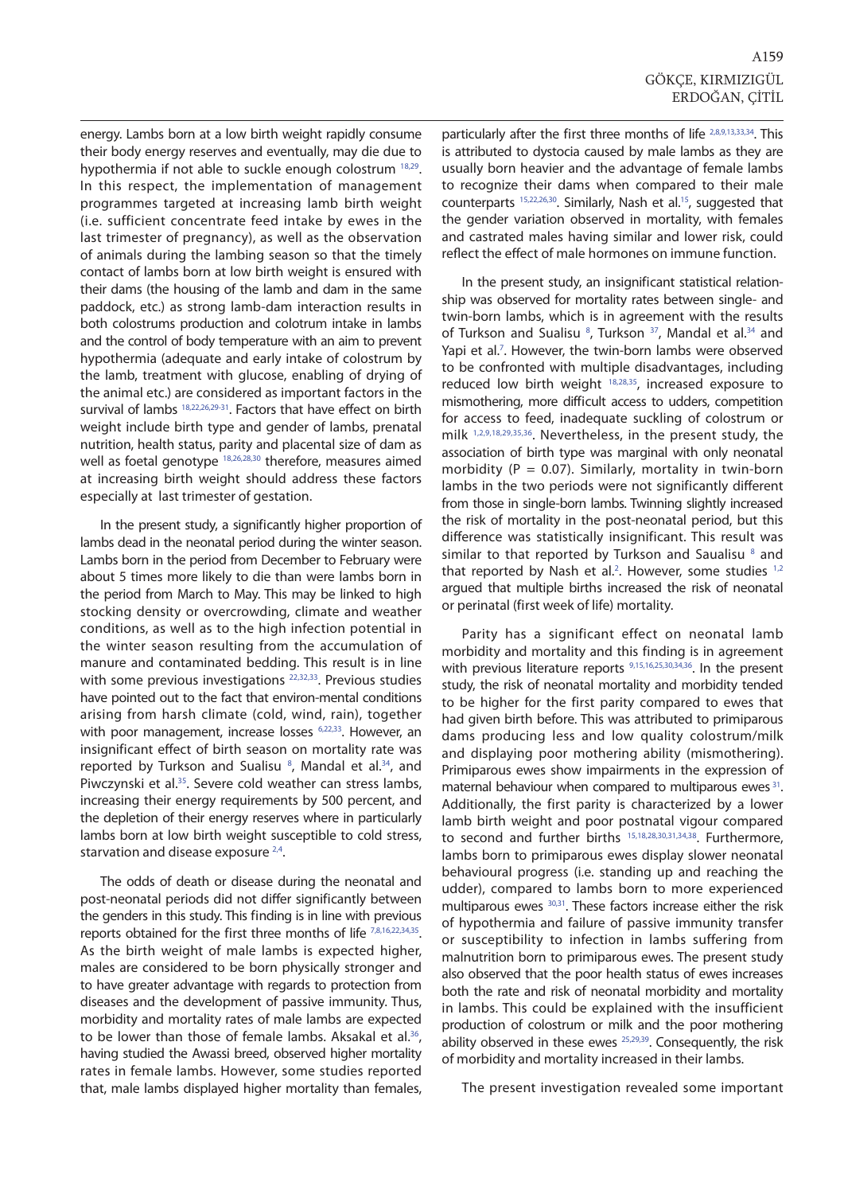energy. Lambs born at a low birth weight rapidly consume their body energy reserves and eventually, may die due to hypothermia if not able to suckle enough colostrum [18,29.](#page-7-0) In this respect, the implementation of management programmes targeted at increasing lamb birth weight (i.e. sufficient concentrate feed intake by ewes in the last trimester of pregnancy), as well as the observation of animals during the lambing season so that the timely contact of lambs born at low birth weight is ensured with their dams (the housing of the lamb and dam in the same paddock, etc.) as strong lamb-dam interaction results in both colostrums production and colotrum intake in lambs and the control of body temperature with an aim to prevent hypothermia (adequate and early intake of colostrum by the lamb, treatment with glucose, enabling of drying of the animal etc.) are considered as important factors in the survival of lamb[s 18,22,26,29-31.](#page-7-0) Factors that have effect on birth weight include birth type and gender of lambs, prenatal nutrition, health status, parity and placental size of dam as well as foetal genotype [18,26,28,30](#page-7-0) therefore, measures aimed at increasing birth weight should address these factors especially at last trimester of gestation.

In the present study, a significantly higher proportion of lambs dead in the neonatal period during the winter season. Lambs born in the period from December to February were about 5 times more likely to die than were lambs born in the period from March to May. This may be linked to high stocking density or overcrowding, climate and weather conditions, as well as to the high infection potential in the winter season resulting from the accumulation of manure and contaminated bedding. This result is in line with some previous investigations <sup>22,32,33</sup>. Previous studies have pointed out to the fact that environ-mental conditions arising from harsh climate (cold, wind, rain), together with poor management, increase losses <sup>6,22,33</sup>. However, an insignificant effect of birth season on mortality rate was reported by Turkson and Sualisu<sup>8</sup>, Mandal et al.<sup>34</sup>, and Piwczynski et al.<sup>35</sup>. Severe cold weather can stress lambs, increasing their energy requirements by 500 percent, and the depletion of their energy reserves where in particularly lambs born at low birth weight susceptible to cold stress, starvation and disease exposure <sup>2,4</sup>.

The odds of death or disease during the neonatal and post-neonatal periods did not differ significantly between the genders in this study. This finding is in line with previous reports obtained for the first three months of life [7,8,16,22,34,35.](#page-7-0) As the birth weight of male lambs is expected higher, males are considered to be born physically stronger and to have greater advantage with regards to protection from diseases and the development of passive immunity. Thus, morbidity and mortality rates of male lambs are expected to be lower than those of female lambs. Aksakal et al.<sup>36</sup>, having studied the Awassi breed, observed higher mortality rates in female lambs. However, some studies reported that, male lambs displayed higher mortality than females, particularly after the first three months of life [2,8,9,13,33,34.](#page-7-0) This is attributed to dystocia caused by male lambs as they are usually born heavier and the advantage of female lambs to recognize their dams when compared to their male counterparts [15,22,26,30.](#page-7-0) Similarly, Nash et al[.15,](#page-7-0) suggested that the gender variation observed in mortality, with females and castrated males having similar and lower risk, could reflect the effect of male hormones on immune function.

In the present study, an insignificant statistical relationship was observed for mortality rates between single- and twin-born lambs, which is in agreement with the results of Turkson and Sualisu <sup>8</sup>[,](#page-7-0) Turkson <sup>37</sup>, Mandal et al.<sup>34</sup> and Yapi et al.<sup>7</sup>. However, the twin-born lambs were observed to be confronted with multiple disadvantages, including reduced low birth weight  $18,28,35$ , increased exposure to mismothering, more difficult access to udders, competition for access to feed, inadequate suckling of colostrum or milk [1,2,9,18,29,35,36.](#page-7-0) Nevertheless, in the present study, the association of birth type was marginal with only neonatal morbidity ( $P = 0.07$ ). Similarly, mortality in twin-born lambs in the two periods were not significantly different from those in single-born lambs. Twinning slightly increased the risk of mortality in the post-neonatal period, but this difference was statistically insignificant. This result was similar to that reported by Turkson and Saualisu  $8$  and that reported by Nash et al.<sup>[2](#page-7-0)</sup>. However, some studies  $1,2$ argued that multiple births increased the risk of neonatal or perinatal (first week of life) mortality.

Parity has a significant effect on neonatal lamb morbidity and mortality and this finding is in agreement with previous literature reports [9,15,16,25,30,34,36.](#page-7-0) In the present study, the risk of neonatal mortality and morbidity tended to be higher for the first parity compared to ewes that had given birth before. This was attributed to primiparous dams producing less and low quality colostrum/milk and displaying poor mothering ability (mismothering). Primiparous ewes show impairments in the expression of maternal behaviour when compared to multiparous ewes <sup>31</sup>. Additionally, the first parity is characterized by a lower lamb birth weight and poor postnatal vigour compared to second and further births [15,18,28,30,31,34,38](#page-7-0). Furthermore, lambs born to primiparous ewes display slower neonatal behavioural progress (i.e. standing up and reaching the udder), compared to lambs born to more experienced multiparous ewe[s 30,31.](#page-7-0) These factors increase either the risk of hypothermia and failure of passive immunity transfer or susceptibility to infection in lambs suffering from malnutrition born to primiparous ewes. The present study also observed that the poor health status of ewes increases both the rate and risk of neonatal morbidity and mortality in lambs. This could be explained with the insufficient production of colostrum or milk and the poor mothering ability observed in these ewes <sup>25,29,39</sup>. Consequently, the risk of morbidity and mortality increased in their lambs.

The present investigation revealed some important